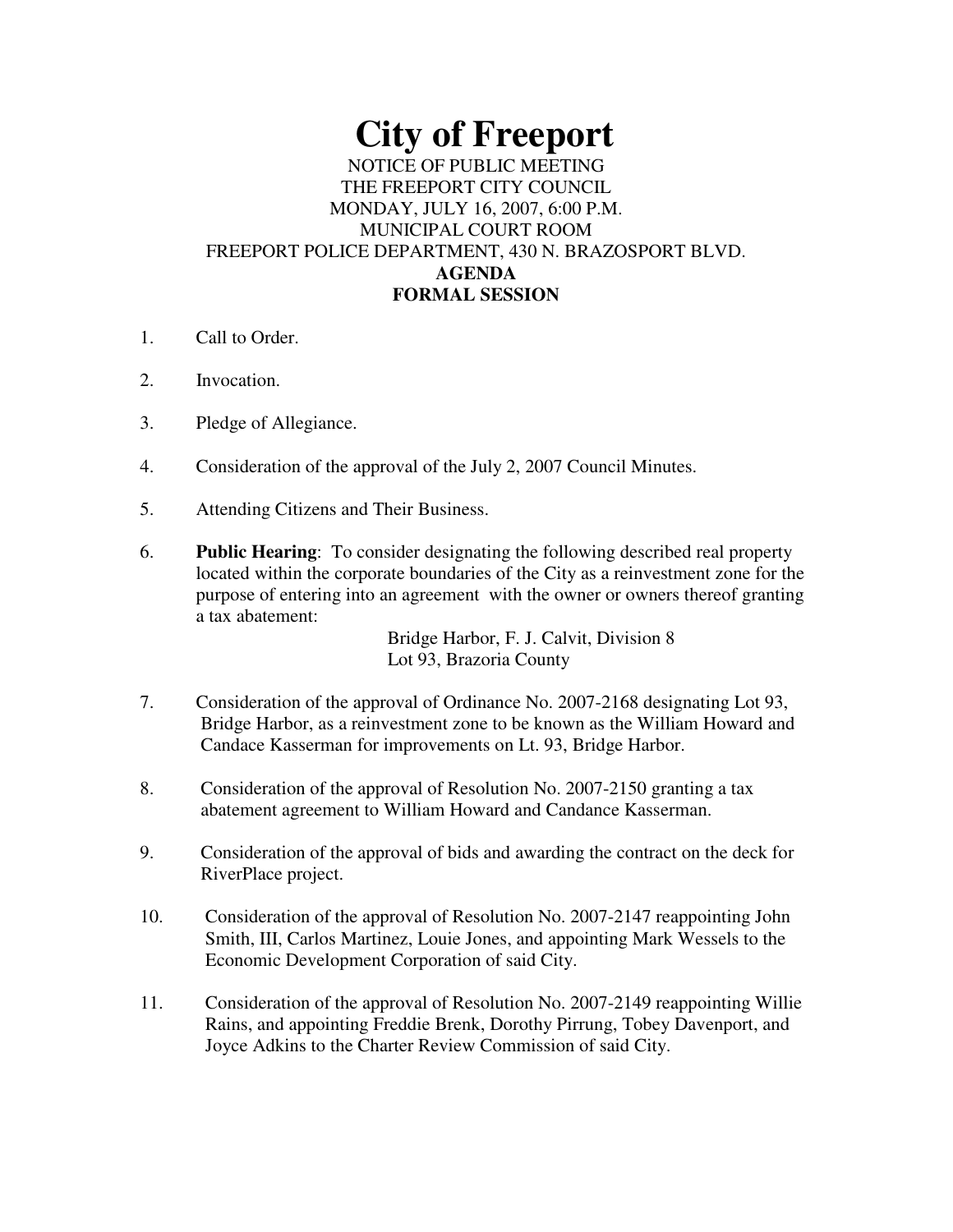# **City of Freeport**

## NOTICE OF PUBLIC MEETING THE FREEPORT CITY COUNCIL MONDAY, JULY 16, 2007, 6:00 P.M. MUNICIPAL COURT ROOM FREEPORT POLICE DEPARTMENT, 430 N. BRAZOSPORT BLVD. **AGENDA FORMAL SESSION**

- 1. Call to Order.
- 2. Invocation.
- 3. Pledge of Allegiance.
- 4. Consideration of the approval of the July 2, 2007 Council Minutes.
- 5. Attending Citizens and Their Business.
- 6. **Public Hearing**: To consider designating the following described real property located within the corporate boundaries of the City as a reinvestment zone for the purpose of entering into an agreement with the owner or owners thereof granting a tax abatement:

Bridge Harbor, F. J. Calvit, Division 8 Lot 93, Brazoria County

- 7. Consideration of the approval of Ordinance No. 2007-2168 designating Lot 93, Bridge Harbor, as a reinvestment zone to be known as the William Howard and Candace Kasserman for improvements on Lt. 93, Bridge Harbor.
- 8. Consideration of the approval of Resolution No. 2007-2150 granting a tax abatement agreement to William Howard and Candance Kasserman.
- 9. Consideration of the approval of bids and awarding the contract on the deck for RiverPlace project.
- 10. Consideration of the approval of Resolution No. 2007-2147 reappointing John Smith, III, Carlos Martinez, Louie Jones, and appointing Mark Wessels to the Economic Development Corporation of said City.
- 11. Consideration of the approval of Resolution No. 2007-2149 reappointing Willie Rains, and appointing Freddie Brenk, Dorothy Pirrung, Tobey Davenport, and Joyce Adkins to the Charter Review Commission of said City.